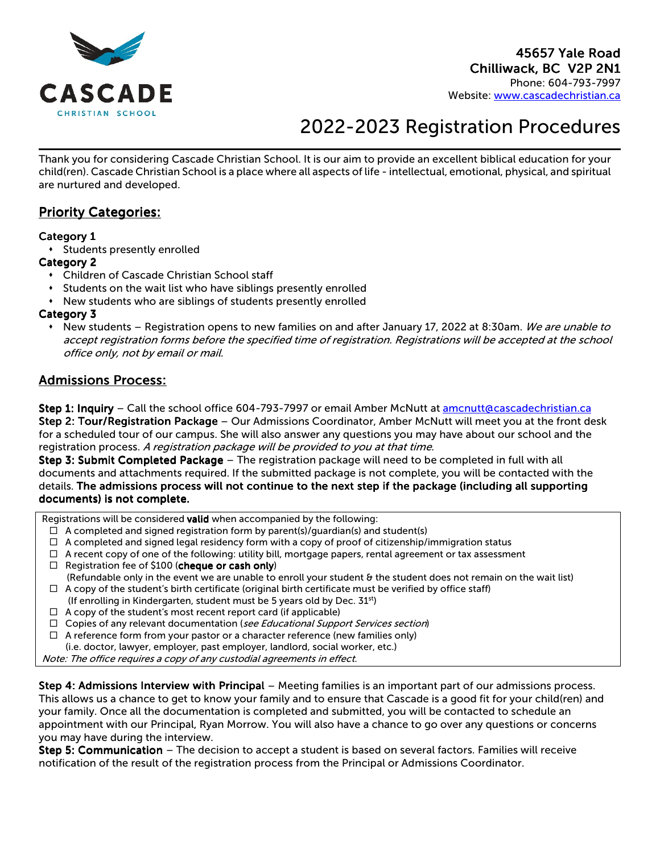

# 2022-2023 Registration Procedures

Thank you for considering Cascade Christian School. It is our aim to provide an excellent biblical education for your child(ren). Cascade Christian School is a place where all aspects of life - intellectual, emotional, physical, and spiritual are nurtured and developed.

# **Priority Categories:**

# Category 1

Students presently enrolled

# Category 2

- Children of Cascade Christian School staff
- Students on the wait list who have siblings presently enrolled
- New students who are siblings of students presently enrolled

# Category 3

• New students – Registration opens to new families on and after January 17, 2022 at 8:30am. *We are unable to* accept registration forms before the specified time of registration. Registrations will be accepted at the school office only, not by email or mail.

# **Admissions Process:**

Step 1: Inquiry - Call the school office 604-793-7997 or email Amber McNutt at amcnutt@cascadechristian.ca

Step 2: Tour/Registration Package – Our Admissions Coordinator, Amber McNutt will meet you at the front desk for a scheduled tour of our campus. She will also answer any questions you may have about our school and the registration process. A registration package will be provided to you at that time.

Step 3: Submit Completed Package – The registration package will need to be completed in full with all documents and attachments required. If the submitted package is not complete, you will be contacted with the details. The admissions process will not continue to the next step if the package (including all supporting documents) is not complete.

Registrations will be considered valid when accompanied by the following:

- $\Box$  A completed and signed registration form by parent(s)/guardian(s) and student(s)
- $\Box$  A completed and signed legal residency form with a copy of proof of citizenship/immigration status
- $\Box$  A recent copy of one of the following: utility bill, mortgage papers, rental agreement or tax assessment
- $\Box$  Registration fee of \$100 (cheque or cash only)
- (Refundable only in the event we are unable to enroll your student & the student does not remain on the wait list)  $\Box$  A copy of the student's birth certificate (original birth certificate must be verified by office staff)
- (If enrolling in Kindergarten, student must be 5 years old by Dec. 31st)
- $\Box$  A copy of the student's most recent report card (if applicable)
- $\Box$  Copies of any relevant documentation (see Educational Support Services section)
- $\Box$  A reference form from your pastor or a character reference (new families only)
- (i.e. doctor, lawyer, employer, past employer, landlord, social worker, etc.)

Note: The office requires a copy of any custodial agreements in effect.

Step 4: Admissions Interview with Principal – Meeting families is an important part of our admissions process. This allows us a chance to get to know your family and to ensure that Cascade is a good fit for your child(ren) and your family. Once all the documentation is completed and submitted, you will be contacted to schedule an appointment with our Principal, Ryan Morrow. You will also have a chance to go over any questions or concerns you may have during the interview.

Step 5: Communication – The decision to accept a student is based on several factors. Families will receive notification of the result of the registration process from the Principal or Admissions Coordinator.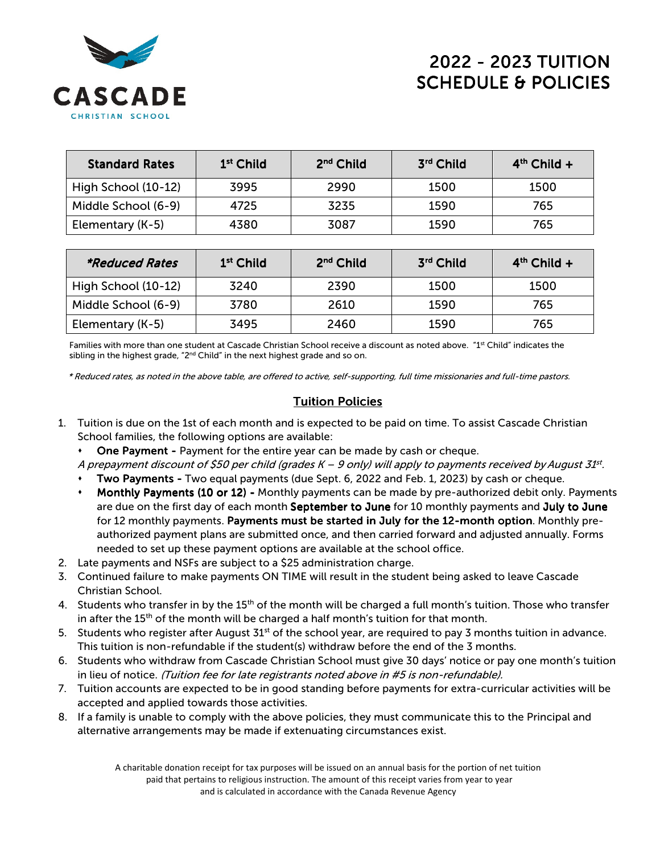

# 2022 -2023 TUITION 2023 TUITION2023 TUITION SCHEDULE & POLICIES

| <b>Standard Rates</b> | 1 <sup>st</sup> Child | 2 <sup>nd</sup> Child | 3rd Child | $4th$ Child + |
|-----------------------|-----------------------|-----------------------|-----------|---------------|
| High School (10-12)   | 3995                  | 2990                  | 1500      | 1500          |
| Middle School (6-9)   | 4725                  | 3235                  | 1590      | 765           |
| Elementary (K-5)      | 4380                  | 3087                  | 1590      | 765           |

| *Reduced Rates      | 1 <sup>st</sup> Child | 2 <sup>nd</sup> Child | 3rd Child | $4th$ Child + |
|---------------------|-----------------------|-----------------------|-----------|---------------|
| High School (10-12) | 3240                  | 2390                  | 1500      | 1500          |
| Middle School (6-9) | 3780                  | 2610                  | 1590      | 765           |
| Elementary (K-5)    | 3495                  | 2460                  | 1590      | 765           |

Families with more than one student at Cascade Christian School receive a discount as noted above. "1st Child" indicates the sibling in the highest grade, " $2<sup>nd</sup>$  Child" in the next highest grade and so on.

\* Reduced rates, as noted in the above table, are offered to active, self-supporting, full time missionaries and full-time pastors.

# **Tuition Policies**

- 1. Tuition is due on the 1st of each month and is expected to be paid on time. To assist Cascade Christian School families, the following options are available:
	- **One Payment Payment for the entire year can be made by cash or cheque.**

A prepayment discount of \$50 per child (grades K – 9 only) will apply to payments received by August 31st.

- Two Payments Two equal payments (due Sept. 6, 2022 and Feb. 1, 2023) by cash or cheque.
- Monthly Payments (10 or 12) Monthly payments can be made by pre-authorized debit only. Payments are due on the first day of each month September to June for 10 monthly payments and July to June for 12 monthly payments. Payments must be started in July for the 12-month option. Monthly preauthorized payment plans are submitted once, and then carried forward and adjusted annually. Forms needed to set up these payment options are available at the school office.
- 2. Late payments and NSFs are subject to a \$25 administration charge.
- 3. Continued failure to make payments ON TIME will result in the student being asked to leave Cascade Christian School.
- 4. Students who transfer in by the 15<sup>th</sup> of the month will be charged a full month's tuition. Those who transfer in after the 15<sup>th</sup> of the month will be charged a half month's tuition for that month.
- 5. Students who register after August  $31<sup>st</sup>$  of the school year, are required to pay 3 months tuition in advance. This tuition is non-refundable if the student(s) withdraw before the end of the 3 months.
- 6. Students who withdraw from Cascade Christian School must give 30 days' notice or pay one month's tuition in lieu of notice. (Tuition fee for late registrants noted above in #5 is non-refundable).
- 7. Tuition accounts are expected to be in good standing before payments for extra-curricular activities will be accepted and applied towards those activities.
- 8. If a family is unable to comply with the above policies, they must communicate this to the Principal and alternative arrangements may be made if extenuating circumstances exist.

A charitable donation receipt for tax purposes will be issued on an annual basis for the portion of net tuition paid that pertains to religious instruction. The amount of this receipt varies from year to year and is calculated in accordance with the Canada Revenue Agency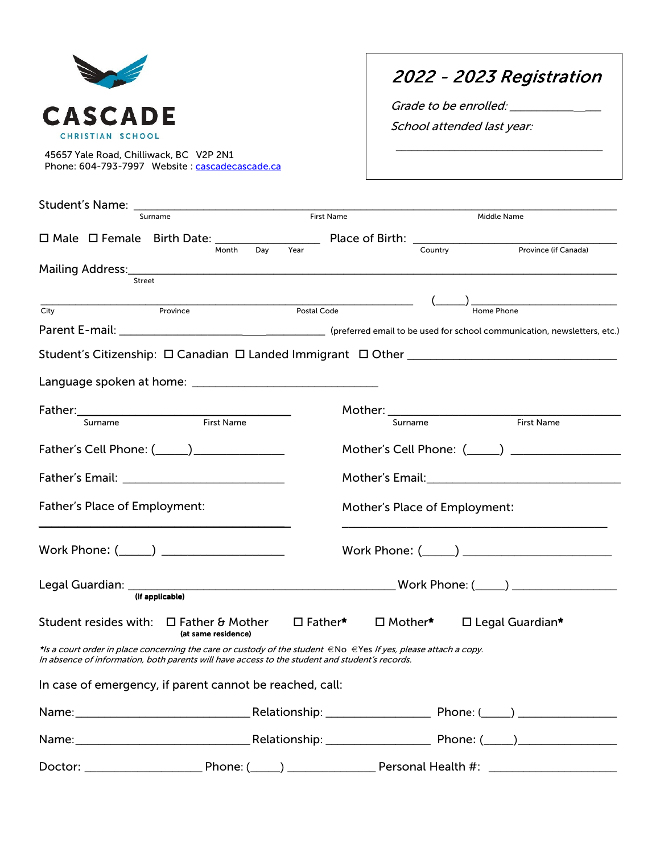

2022 2022 -2023 Registration 2023

\_\_\_\_\_\_\_\_\_\_\_\_\_\_\_\_\_\_\_\_\_\_\_\_\_\_\_\_\_\_\_\_\_\_\_\_\_\_\_

Grade to be enrolled: \_\_\_\_\_\_\_\_\_\_\_\_\_\_\_\_\_

School attended last year:

45657 Yale Road, Chilliwack, BC V2P 2N1 Phone: 604-793-7997 Website : cascadecascade.ca

|                               | Student's Name: _ |                                                                                                                                                                                                                             |  |                   |             |         |                                                                                                                      |
|-------------------------------|-------------------|-----------------------------------------------------------------------------------------------------------------------------------------------------------------------------------------------------------------------------|--|-------------------|-------------|---------|----------------------------------------------------------------------------------------------------------------------|
|                               |                   | Surname                                                                                                                                                                                                                     |  | <b>First Name</b> |             |         | Middle Name                                                                                                          |
|                               |                   |                                                                                                                                                                                                                             |  |                   |             |         | $\Box$ Male $\Box$ Female Birth Date: $\frac{1}{\Box}$ Place of Birth: $\frac{1}{\Box}$ Country Province (if Canada) |
|                               |                   |                                                                                                                                                                                                                             |  |                   |             |         |                                                                                                                      |
|                               | <b>Street</b>     |                                                                                                                                                                                                                             |  |                   |             |         |                                                                                                                      |
| City                          |                   | Province                                                                                                                                                                                                                    |  |                   | Postal Code |         | $\frac{(\_ \_ \})}{\_ \text{Home Phone}}$                                                                            |
|                               |                   |                                                                                                                                                                                                                             |  |                   |             |         |                                                                                                                      |
|                               |                   |                                                                                                                                                                                                                             |  |                   |             |         |                                                                                                                      |
|                               |                   |                                                                                                                                                                                                                             |  |                   |             |         |                                                                                                                      |
|                               |                   |                                                                                                                                                                                                                             |  |                   |             |         |                                                                                                                      |
|                               |                   |                                                                                                                                                                                                                             |  |                   |             |         |                                                                                                                      |
|                               |                   |                                                                                                                                                                                                                             |  |                   |             | Surname | <b>First Name</b>                                                                                                    |
|                               |                   | Father's Cell Phone: (_____) ________________                                                                                                                                                                               |  |                   |             |         |                                                                                                                      |
|                               |                   |                                                                                                                                                                                                                             |  |                   |             |         |                                                                                                                      |
| Father's Place of Employment: |                   | Mother's Place of Employment:                                                                                                                                                                                               |  |                   |             |         |                                                                                                                      |
|                               |                   |                                                                                                                                                                                                                             |  |                   |             |         |                                                                                                                      |
|                               |                   |                                                                                                                                                                                                                             |  |                   |             |         |                                                                                                                      |
|                               |                   | Student resides with: □ Father & Mother □ Father* □ Mother*<br>(at same residence)                                                                                                                                          |  |                   |             |         | $\Box$ Legal Guardian*                                                                                               |
|                               |                   | *Is a court order in place concerning the care or custody of the student $\in$ No $\in$ Yes If yes, please attach a copy.<br>In absence of information, both parents will have access to the student and student's records. |  |                   |             |         |                                                                                                                      |
|                               |                   | In case of emergency, if parent cannot be reached, call:                                                                                                                                                                    |  |                   |             |         |                                                                                                                      |
|                               |                   |                                                                                                                                                                                                                             |  |                   |             |         |                                                                                                                      |
|                               |                   |                                                                                                                                                                                                                             |  |                   |             |         |                                                                                                                      |
|                               |                   |                                                                                                                                                                                                                             |  |                   |             |         |                                                                                                                      |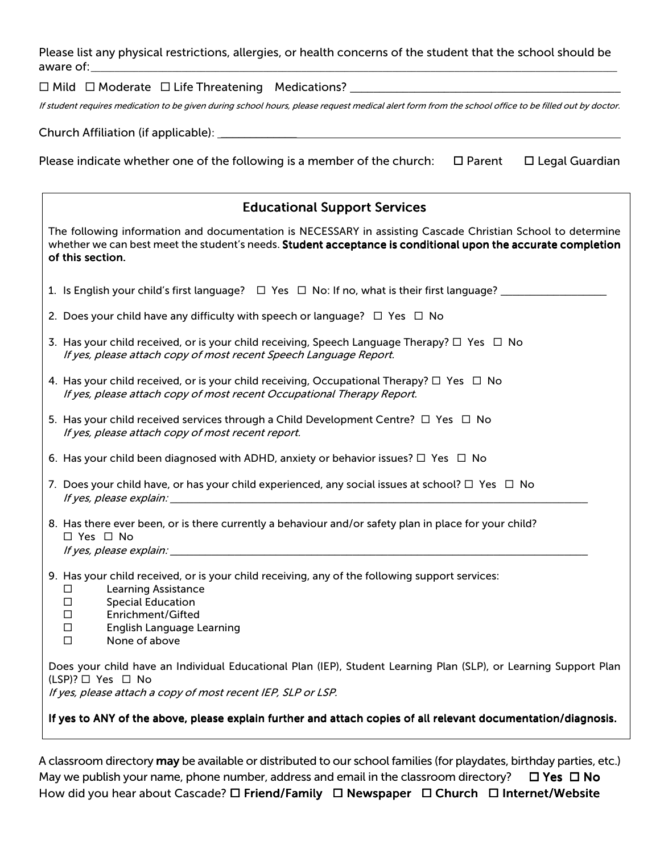Please list any physical restrictions, allergies, or health concerns of the student that the school should be aware of:\_

Mild Moderate Life Threatening Medications? \_\_\_\_\_\_\_\_\_\_\_\_\_\_\_\_\_\_\_\_\_\_\_\_\_\_\_\_\_\_\_\_\_\_\_\_\_\_\_\_\_\_\_\_\_\_

If student requires medication to be given during school hours, please request medical alert form from the school office to be filled out by doctor.

Church Affiliation (if applicable): \_\_\_\_\_\_\_\_\_\_\_\_\_

Please indicate whether one of the following is a member of the church:  $\Box$  Parent  $\Box$  Legal Guardian

| <b>Educational Support Services</b>                                                                                                                                                                                                                                      |  |  |  |  |  |
|--------------------------------------------------------------------------------------------------------------------------------------------------------------------------------------------------------------------------------------------------------------------------|--|--|--|--|--|
| The following information and documentation is NECESSARY in assisting Cascade Christian School to determine<br>whether we can best meet the student's needs. Student acceptance is conditional upon the accurate completion<br>of this section.                          |  |  |  |  |  |
| 1. Is English your child's first language? $\square$ Yes $\square$ No: If no, what is their first language?                                                                                                                                                              |  |  |  |  |  |
| 2. Does your child have any difficulty with speech or language? $\Box$ Yes $\Box$ No                                                                                                                                                                                     |  |  |  |  |  |
| 3. Has your child received, or is your child receiving, Speech Language Therapy? $\Box$ Yes $\Box$ No<br>If yes, please attach copy of most recent Speech Language Report.                                                                                               |  |  |  |  |  |
| 4. Has your child received, or is your child receiving, Occupational Therapy? $\Box$ Yes $\Box$ No<br>If yes, please attach copy of most recent Occupational Therapy Report.                                                                                             |  |  |  |  |  |
| 5. Has your child received services through a Child Development Centre? $\Box$ Yes $\Box$ No<br>If yes, please attach copy of most recent report.                                                                                                                        |  |  |  |  |  |
| 6. Has your child been diagnosed with ADHD, anxiety or behavior issues? $\square$ Yes $\square$ No                                                                                                                                                                       |  |  |  |  |  |
| 7. Does your child have, or has your child experienced, any social issues at school? $\Box$ Yes $\Box$ No                                                                                                                                                                |  |  |  |  |  |
| 8. Has there ever been, or is there currently a behaviour and/or safety plan in place for your child?<br>$\Box$ Yes $\Box$ No                                                                                                                                            |  |  |  |  |  |
| 9. Has your child received, or is your child receiving, any of the following support services:<br><b>Learning Assistance</b><br>$\Box$<br><b>Special Education</b><br>$\Box$<br>Enrichment/Gifted<br>$\Box$<br>English Language Learning<br>□<br>None of above<br>$\Box$ |  |  |  |  |  |
| Does your child have an Individual Educational Plan (IEP), Student Learning Plan (SLP), or Learning Support Plan<br>$(LSP)? \Box Yes \Box No$<br>If yes, please attach a copy of most recent IEP, SLP or LSP.                                                            |  |  |  |  |  |
| If yes to ANY of the above, please explain further and attach copies of all relevant documentation/diagnosis.                                                                                                                                                            |  |  |  |  |  |

A classroom directory may be available or distributed to our school families (for playdates, birthday parties, etc.) May we publish your name, phone number, address and email in the classroom directory?  $\Box$  Yes  $\Box$  No

How did you hear about Cascade?  $\square$  Friend/Family  $\square$  Newspaper  $\square$  Church  $\square$  Internet/Website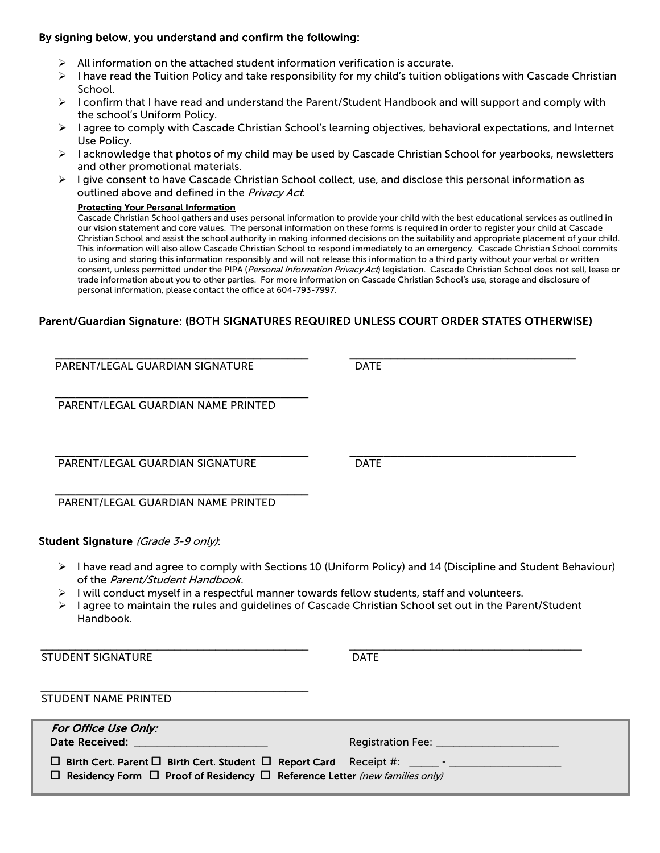### By signing below, you understand and confirm the following:

- $\triangleright$  All information on the attached student information verification is accurate.
- $\triangleright$  I have read the Tuition Policy and take responsibility for my child's tuition obligations with Cascade Christian School.
- $\triangleright$  I confirm that I have read and understand the Parent/Student Handbook and will support and comply with the school's Uniform Policy.
- $\triangleright$  I agree to comply with Cascade Christian School's learning objectives, behavioral expectations, and Internet Use Policy.
- $\triangleright$  I acknowledge that photos of my child may be used by Cascade Christian School for yearbooks, newsletters and other promotional materials.
- $\triangleright$  I give consent to have Cascade Christian School collect, use, and disclose this personal information as outlined above and defined in the Privacy Act.

#### **Protecting Your Personal Information**

Cascade Christian School gathers and uses personal information to provide your child with the best educational services as outlined in our vision statement and core values. The personal information on these forms is required in order to register your child at Cascade Christian School and assist the school authority in making informed decisions on the suitability and appropriate placement of your child. This information will also allow Cascade Christian School to respond immediately to an emergency. Cascade Christian School commits to using and storing this information responsibly and will not release this information to a third party without your verbal or written consent, unless permitted under the PIPA (Personal Information Privacy Act) legislation. Cascade Christian School does not sell, lease or trade information about you to other parties. For more information on Cascade Christian School's use, storage and disclosure of personal information, please contact the office at 604-793-7997.

# Parent/Guardian Signature: (BOTH SIGNATURES REQUIRED UNLESS COURT ORDER STATES OTHERWISE)

| PARENT/LEGAL GUARDIAN SIGNATURE                                                                                                                                                                                                                       | <b>DATE</b>                                                                                                                  |
|-------------------------------------------------------------------------------------------------------------------------------------------------------------------------------------------------------------------------------------------------------|------------------------------------------------------------------------------------------------------------------------------|
| PARENT/LEGAL GUARDIAN NAME PRINTED                                                                                                                                                                                                                    |                                                                                                                              |
| PARENT/LEGAL GUARDIAN SIGNATURE                                                                                                                                                                                                                       | <b>DATE</b>                                                                                                                  |
| PARENT/LEGAL GUARDIAN NAME PRINTED                                                                                                                                                                                                                    |                                                                                                                              |
| Student Signature (Grade 3-9 only):                                                                                                                                                                                                                   |                                                                                                                              |
| of the Parent/Student Handbook.<br>I will conduct myself in a respectful manner towards fellow students, staff and volunteers.<br>I agree to maintain the rules and guidelines of Cascade Christian School set out in the Parent/Student<br>Handbook. | $\triangleright$ I have read and agree to comply with Sections 10 (Uniform Policy) and 14 (Discipline and Student Behaviour) |
| <b>STUDENT SIGNATURE</b>                                                                                                                                                                                                                              | <b>DATE</b>                                                                                                                  |
| <b>STUDENT NAME PRINTED</b>                                                                                                                                                                                                                           |                                                                                                                              |
| For Office Use Only:<br><b>Date Received:</b>                                                                                                                                                                                                         |                                                                                                                              |
| $\Box$ Birth Cert. Parent $\Box$ Birth Cert. Student $\Box$ Report Card Receipt #:<br>□ Residency Form □ Proof of Residency □ Reference Letter (new families only)                                                                                    |                                                                                                                              |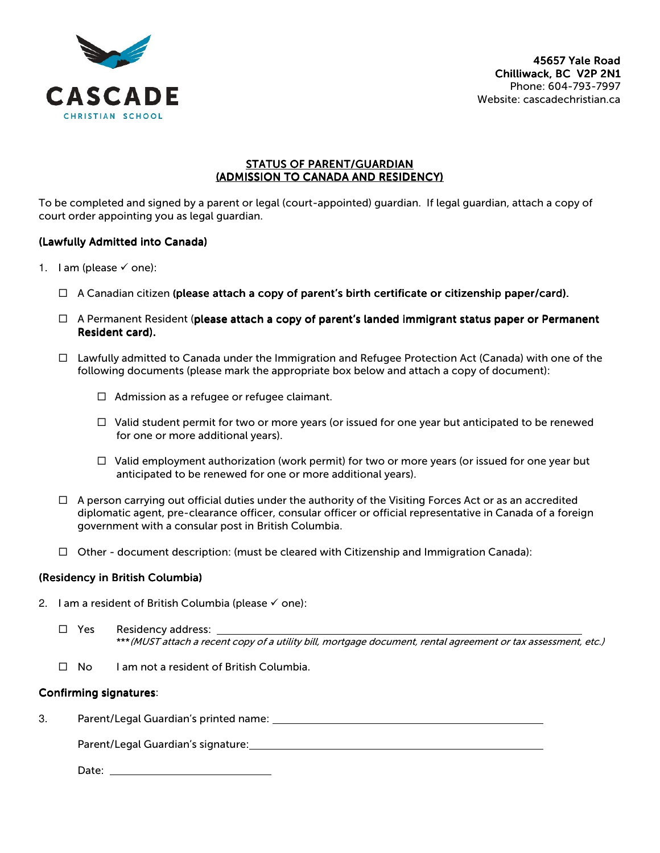

#### STATUS OF PARENT/GUARDIAN (ADMISSION TO CANADA AND RESIDENCY)

To be completed and signed by a parent or legal (court-appointed) guardian. If legal guardian, attach a copy of court order appointing you as legal guardian.

# (Lawfully Admitted into Canada)

- 1. I am (please  $\checkmark$  one):
	- $\Box$  A Canadian citizen (please attach a copy of parent's birth certificate or citizenship paper/card).
	- $\Box$  A Permanent Resident (please attach a copy of parent's landed immigrant status paper or Permanent Resident card).
	- $\Box$  Lawfully admitted to Canada under the Immigration and Refugee Protection Act (Canada) with one of the following documents (please mark the appropriate box below and attach a copy of document):
		- $\Box$  Admission as a refugee or refugee claimant.
		- $\Box$  Valid student permit for two or more years (or issued for one year but anticipated to be renewed for one or more additional years).
		- $\Box$  Valid employment authorization (work permit) for two or more years (or issued for one year but anticipated to be renewed for one or more additional years).
	- $\Box$  A person carrying out official duties under the authority of the Visiting Forces Act or as an accredited diplomatic agent, pre-clearance officer, consular officer or official representative in Canada of a foreign government with a consular post in British Columbia.
	- $\Box$  Other document description: (must be cleared with Citizenship and Immigration Canada):

#### (Residency in British Columbia)

- 2. I am a resident of British Columbia (please  $\checkmark$  one):
	- □ Yes Residency address: \*\*\*(MUST attach a recent copy of a utility bill, mortgage document, rental agreement or tax assessment, etc.)
	- $\Box$  No I am not a resident of British Columbia.

# Confirming signatures:

3. Parent/Legal Guardian's printed name:

Parent/Legal Guardian's signature:

Date: **Date:**